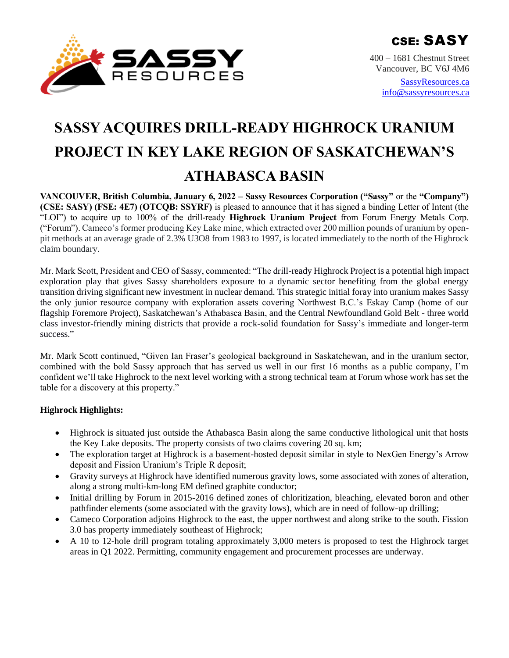

400 – 1681 Chestnut Street Vancouver, BC V6J 4M6

> [SassyResources.ca](http://www.sassyresources.ca/) [info@sassyresources.ca](mailto:info@sassyresources.ca)

# **SASSY ACQUIRES DRILL-READY HIGHROCK URANIUM PROJECT IN KEY LAKE REGION OF SASKATCHEWAN'S ATHABASCA BASIN**

**VANCOUVER, British Columbia, January 6, 2022 – Sassy Resources Corporation ("Sassy"** or the **"Company") (CSE: SASY) (FSE: 4E7) (OTCQB: SSYRF)** is pleased to announce that it has signed a binding Letter of Intent (the "LOI") to acquire up to 100% of the drill-ready **Highrock Uranium Project** from Forum Energy Metals Corp. ("Forum"). Cameco's former producing Key Lake mine, which extracted over 200 million pounds of uranium by openpit methods at an average grade of 2.3% U3O8 from 1983 to 1997, is located immediately to the north of the Highrock claim boundary.

Mr. Mark Scott, President and CEO of Sassy, commented: "The drill-ready Highrock Project is a potential high impact exploration play that gives Sassy shareholders exposure to a dynamic sector benefiting from the global energy transition driving significant new investment in nuclear demand. This strategic initial foray into uranium makes Sassy the only junior resource company with exploration assets covering Northwest B.C.'s Eskay Camp (home of our flagship Foremore Project), Saskatchewan's Athabasca Basin, and the Central Newfoundland Gold Belt - three world class investor-friendly mining districts that provide a rock-solid foundation for Sassy's immediate and longer-term success."

Mr. Mark Scott continued, "Given Ian Fraser's geological background in Saskatchewan, and in the uranium sector, combined with the bold Sassy approach that has served us well in our first 16 months as a public company, I'm confident we'll take Highrock to the next level working with a strong technical team at Forum whose work has set the table for a discovery at this property."

## **Highrock Highlights:**

- Highrock is situated just outside the Athabasca Basin along the same conductive lithological unit that hosts the Key Lake deposits. The property consists of two claims covering 20 sq. km;
- The exploration target at Highrock is a basement-hosted deposit similar in style to NexGen Energy's Arrow deposit and Fission Uranium's Triple R deposit;
- Gravity surveys at Highrock have identified numerous gravity lows, some associated with zones of alteration, along a strong multi-km-long EM defined graphite conductor;
- Initial drilling by Forum in 2015-2016 defined zones of chloritization, bleaching, elevated boron and other pathfinder elements (some associated with the gravity lows), which are in need of follow-up drilling;
- Cameco Corporation adjoins Highrock to the east, the upper northwest and along strike to the south. Fission 3.0 has property immediately southeast of Highrock;
- A 10 to 12-hole drill program totaling approximately 3,000 meters is proposed to test the Highrock target areas in Q1 2022. Permitting, community engagement and procurement processes are underway.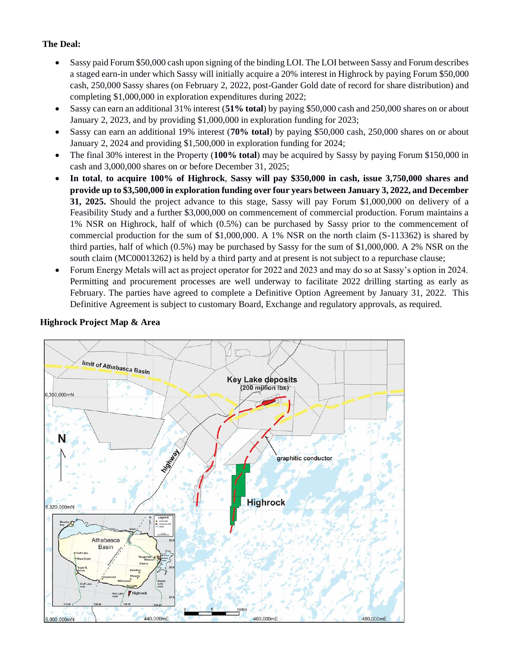# **The Deal:**

- Sassy paid Forum \$50,000 cash upon signing of the binding LOI. The LOI between Sassy and Forum describes a staged earn-in under which Sassy will initially acquire a 20% interest in Highrock by paying Forum \$50,000 cash, 250,000 Sassy shares (on February 2, 2022, post-Gander Gold date of record for share distribution) and completing \$1,000,000 in exploration expenditures during 2022;
- Sassy can earn an additional 31% interest (**51% total**) by paying \$50,000 cash and 250,000 shares on or about January 2, 2023, and by providing \$1,000,000 in exploration funding for 2023;
- Sassy can earn an additional 19% interest (**70% total**) by paying \$50,000 cash, 250,000 shares on or about January 2, 2024 and providing \$1,500,000 in exploration funding for 2024;
- The final 30% interest in the Property (**100% total**) may be acquired by Sassy by paying Forum \$150,000 in cash and 3,000,000 shares on or before December 31, 2025;
- **In total**, **to acquire 100% of Highrock**, **Sassy will pay \$350,000 in cash, issue 3,750,000 shares and provide up to \$3,500,000 in exploration funding over four years between January 3, 2022, and December 31, 2025.** Should the project advance to this stage, Sassy will pay Forum \$1,000,000 on delivery of a Feasibility Study and a further \$3,000,000 on commencement of commercial production. Forum maintains a 1% NSR on Highrock, half of which (0.5%) can be purchased by Sassy prior to the commencement of commercial production for the sum of \$1,000,000. A 1% NSR on the north claim (S-113362) is shared by third parties, half of which (0.5%) may be purchased by Sassy for the sum of \$1,000,000. A 2% NSR on the south claim (MC00013262) is held by a third party and at present is not subject to a repurchase clause;
- Forum Energy Metals will act as project operator for 2022 and 2023 and may do so at Sassy's option in 2024. Permitting and procurement processes are well underway to facilitate 2022 drilling starting as early as February. The parties have agreed to complete a Definitive Option Agreement by January 31, 2022. This Definitive Agreement is subject to customary Board, Exchange and regulatory approvals, as required.

# limit of Athabasca Basin **Key Lake deposits**  $(200 \text{ m}$ ilion Ibs) 5,300,000mN N graphitic conductor **Highrock** 6,320,000mN Athabasca Basin Key<br>road Highrock 440,000mE 6,300,000mN 460,000mE 480,000ml

### **Highrock Project Map & Area**